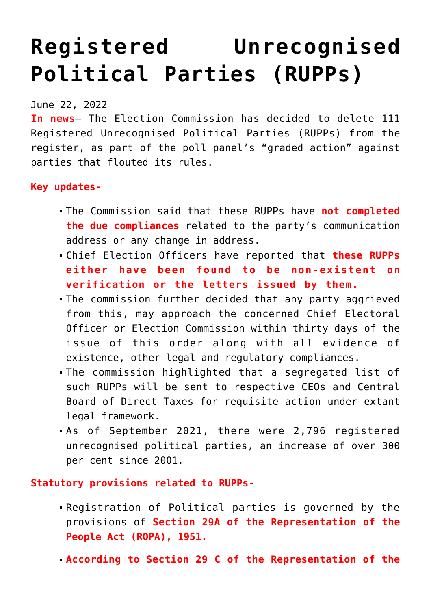## **[Registered Unrecognised](https://journalsofindia.com/registered-unrecognised-political-parties-rupps/) [Political Parties \(RUPPs\)](https://journalsofindia.com/registered-unrecognised-political-parties-rupps/)**

## June 22, 2022

**In news**– The Election Commission has decided to delete 111 Registered Unrecognised Political Parties (RUPPs) from the register, as part of the poll panel's "graded action" against parties that flouted its rules.

## **Key updates-**

- The Commission said that these RUPPs have **not completed the due compliances** related to the party's communication address or any change in address.
- Chief Election Officers have reported that **these RUPPs either have been found to be non-existent on verification or the letters issued by them.**
- The commission further decided that any party aggrieved from this, may approach the concerned Chief Electoral Officer or Election Commission within thirty days of the issue of this order along with all evidence of existence, other legal and regulatory compliances.
- The commission highlighted that a segregated list of such RUPPs will be sent to respective CEOs and Central Board of Direct Taxes for requisite action under extant legal framework.
- As of September 2021, there were 2,796 registered unrecognised political parties, an increase of over 300 per cent since 2001.

**Statutory provisions related to RUPPs-**

- Registration of Political parties is governed by the provisions of **Section 29A of the Representation of the People Act (ROPA), 1951.**
- **According to Section 29 C of the Representation of the**